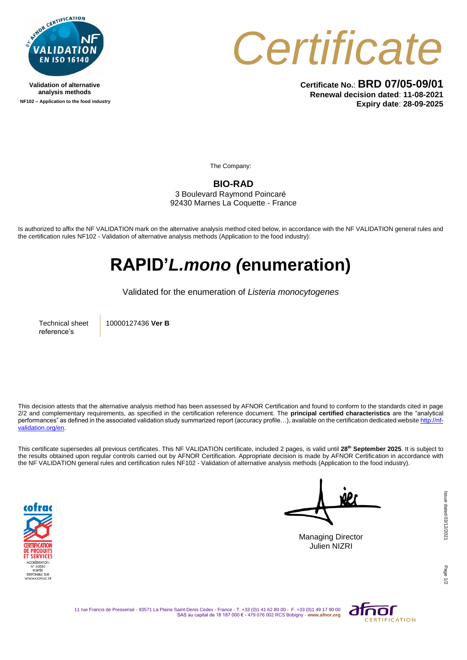

**Validation of alternative analysis methods NF102 – Application to the food industry**



**Certificate No.**: **BRD 07/05-09/01 Renewal decision dated**: **11-08-2021 Expiry date**: **28-09-2025**

The Company:

**BIO-RAD** 3 Boulevard Raymond Poincaré

92430 Marnes La Coquette - France

Is authorized to affix the NF VALIDATION mark on the alternative analysis method cited below, in accordance with the NF VALIDATION general rules and the certification rules NF102 - Validation of alternative analysis methods (Application to the food industry):

## **RAPID'***L.mono (***enumeration)**

Validated for the enumeration of *Listeria monocytogenes*

Technical sheet reference's

10000127436 **Ver B**

This decision attests that the alternative analysis method has been assessed by AFNOR Certification and found to conform to the standards cited in page 2/2 and complementary requirements, as specified in the certification reference document. The **principal certified characteristics** are the "analytical performances" as defined in the associated validation study summarized report (accuracy profile…), available on the certification dedicated websit[e http://nf](http://nf-validation.org/en)[validation.org/en.](http://nf-validation.org/en)

This certificate supersedes all previous certificates. This NF VALIDATION certificate, included 2 pages, is valid until **28th September 2025**. It is subject to the results obtained upon regular controls carried out by AFNOR Certification. Appropriate decision is made by AFNOR Certification in accordance with the NF VALIDATION general rules and certification rules NF102 - Validation of alternative analysis methods (Application to the food industry).



Managing Director Julien NIZRI